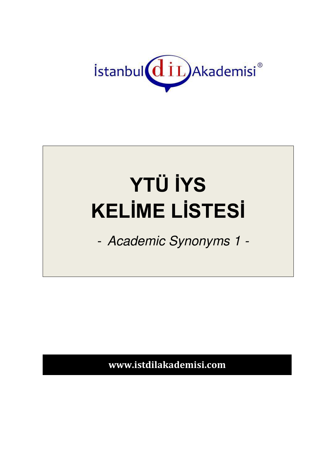

## **YTÜ İYS KELİME LİSTESİ**

- Academic Synonyms 1 -

**www.istdilakademisi.com**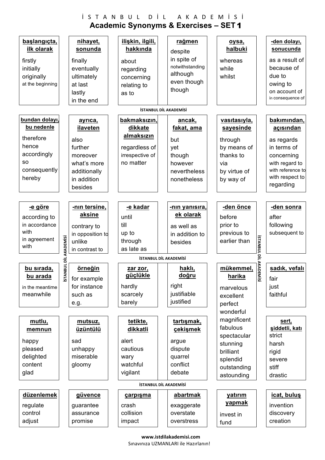## $i$  S T A N B U L D İ L A K A D E M İ S İ **Academic Synonyms & Exercises – SET**  1

| başlangıçta,                                       |                    | nihayet,                |  | ilişkin, ilgili,       |  | rağmen          |  | oysa,                       |      | -den dolayı,                 |
|----------------------------------------------------|--------------------|-------------------------|--|------------------------|--|-----------------|--|-----------------------------|------|------------------------------|
| ilk olarak                                         |                    | sonunda                 |  | hakkında               |  | despite         |  | halbuki                     |      | sonucunda                    |
| firstly                                            |                    | finally                 |  | about                  |  | in spite of     |  | whereas                     |      | as a result of               |
| initially                                          |                    | eventually              |  | regarding              |  | notwithstanding |  | while                       |      | because of                   |
| originally                                         |                    | ultimately              |  | concerning             |  | although        |  | whilst                      |      | due to                       |
| at the beginning                                   |                    | at last                 |  | relating to            |  | even though     |  |                             |      | owing to                     |
|                                                    |                    | lastly                  |  | as to                  |  | though          |  |                             |      | on account of                |
|                                                    |                    | in the end              |  |                        |  |                 |  |                             |      | in consequence of            |
| <b>İSTANBUL DİL AKADEMİSİ</b>                      |                    |                         |  |                        |  |                 |  |                             |      |                              |
| bundan dolayı,                                     |                    | ayrıca,                 |  | bakmaksızın,           |  | ancak,          |  | vasıtasıyla,                |      | bakımından,                  |
| bu nedenle                                         |                    | ilaveten                |  | dikkate                |  | fakat, ama      |  | sayesinde                   |      | açısından                    |
| therefore                                          |                    | also                    |  | almaksızın             |  | but             |  |                             |      |                              |
| hence                                              |                    | further                 |  | regardless of          |  |                 |  | through<br>by means of      |      | as regards<br>in terms of    |
| accordingly                                        |                    |                         |  | irrespective of        |  | yet<br>though   |  | thanks to                   |      |                              |
| SO.                                                |                    | moreover<br>what's more |  | no matter              |  | however         |  | via                         |      | concerning<br>with regard to |
| consequently                                       |                    | additionally            |  |                        |  | nevertheless    |  | by virtue of                |      | with reference to            |
| hereby                                             |                    | in addition             |  |                        |  | nonetheless     |  | by way of                   |      | with respect to              |
|                                                    |                    | besides                 |  |                        |  |                 |  |                             |      | regarding                    |
|                                                    |                    |                         |  |                        |  |                 |  |                             |      |                              |
| <u>-e göre</u>                                     |                    | -nin tersine,           |  | -e kadar               |  | -nin yanısıra,  |  | -den önce                   |      | -den sonra                   |
|                                                    |                    | aksine                  |  |                        |  | ek olarak       |  |                             |      |                              |
| according to<br>in accordance                      |                    |                         |  | until<br>till          |  |                 |  | before                      |      | after                        |
| with                                               |                    | contrary to             |  |                        |  | as well as      |  | prior to                    |      | following                    |
| in agreement                                       |                    | in opposition to        |  | up to<br>through       |  | in addition to  |  | previous to<br>earlier than |      | subsequent to                |
| with                                               |                    | unlike                  |  | as late as             |  | besides         |  |                             |      |                              |
|                                                    |                    | in contrast to          |  |                        |  |                 |  |                             |      |                              |
| <b>ISTANBUL DILAKADE</b><br>İSTANBUL DİL AKADEMİSİ |                    |                         |  |                        |  |                 |  |                             |      |                              |
|                                                    |                    |                         |  |                        |  |                 |  |                             |      |                              |
| bu sırada,                                         | NBUL DİL AKADEMİSİ | örneğin                 |  | <u>zar zor,</u>        |  | haklı,          |  | mükemmel,                   |      | sadık, vefalı                |
| bu arada                                           | <b>STA</b>         | for example             |  | güçlükle               |  | doğru           |  | harika                      | Misi | fair                         |
| in the meantime                                    |                    | for instance            |  | hardly                 |  | right           |  | marvelous                   |      | just                         |
| meanwhile                                          |                    | such as                 |  | scarcely               |  | justifiable     |  | excellent                   |      | faithful                     |
|                                                    |                    | e.g.                    |  | barely                 |  | justified       |  | perfect                     |      |                              |
|                                                    |                    |                         |  |                        |  |                 |  | wonderful                   |      |                              |
| mutlu,                                             |                    | mutsuz,                 |  | tetikte,               |  | tartışmak,      |  | magnificent                 |      | sert,                        |
| memnun                                             |                    | üzüntülü                |  | dikkatli               |  | çekişmek        |  | fabulous                    |      | şiddetli, katı               |
|                                                    |                    |                         |  |                        |  |                 |  | spectacular                 |      | strict                       |
| happy                                              |                    | sad                     |  | alert                  |  | argue           |  | stunning                    |      | harsh                        |
| pleased                                            |                    | unhappy                 |  | cautious               |  | dispute         |  | brilliant                   |      | rigid                        |
| delighted                                          |                    | miserable               |  | wary                   |  | quarrel         |  | splendid                    |      | severe                       |
| content                                            |                    | gloomy                  |  | watchful               |  | conflict        |  | outstanding                 |      | stiff                        |
| glad                                               |                    |                         |  | vigilant               |  | debate          |  | astounding                  |      | drastic                      |
|                                                    |                    |                         |  | İSTANBUL DİL AKADEMİSİ |  |                 |  |                             |      |                              |
| düzenlemek                                         |                    | güvence                 |  | carpisma               |  | abartmak        |  | yatırım                     |      | icat, bulus                  |
| regulate                                           |                    | guarantee               |  | crash                  |  | exaggerate      |  | yapmak                      |      | invention                    |
| control                                            |                    | assurance               |  | collision              |  | overstate       |  | invest in                   |      | discovery                    |
| adjust                                             |                    | promise                 |  | impact                 |  | overstress      |  | fund                        |      | creation                     |

 **www.istdilakademisi.com**  Sınavınıza UZMANLARI ile Hazırlanın!